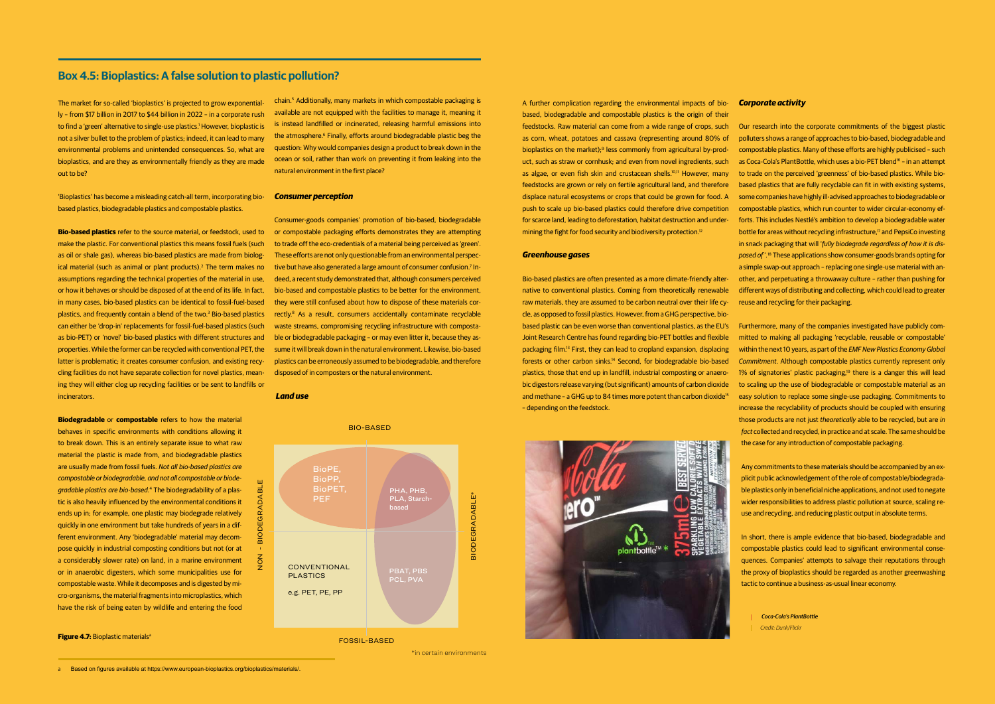\*in certain environments

FOSSIL-BASED



 *Coca-Cola's PlantBottle Credit: Dunk/Flickr*

# **Box 4.5: Bioplastics: A false solution to plastic pollution?**

The market for so-called 'bioplastics' is projected to grow exponentially – from \$17 billion in 2017 to \$44 billion in 2022 – in a corporate rush to find a 'green' alternative to single-use plastics.<sup>1</sup> However, bioplastic is not a silver bullet to the problem of plastics; indeed, it can lead to many environmental problems and unintended consequences. So, what are bioplastics, and are they as environmentally friendly as they are made out to be?

'Bioplastics' has become a misleading catch-all term, incorporating biobased plastics, biodegradable plastics and compostable plastics.

**Bio-based plastics** refer to the source material, or feedstock, used to make the plastic. For conventional plastics this means fossil fuels (such as oil or shale gas), whereas bio-based plastics are made from biological material (such as animal or plant products).<sup>2</sup> The term makes no assumptions regarding the technical properties of the material in use, or how it behaves or should be disposed of at the end of its life. In fact, in many cases, bio-based plastics can be identical to fossil-fuel-based plastics, and frequently contain a blend of the two.<sup>3</sup> Bio-based plastics can either be 'drop-in' replacements for fossil-fuel-based plastics (such as bio-PET) or 'novel' bio-based plastics with different structures and properties. While the former can be recycled with conventional PET, the latter is problematic; it creates consumer confusion, and existing recycling facilities do not have separate collection for novel plastics, meaning they will either clog up recycling facilities or be sent to landfills or incinerators.

feedstocks. Raw material can come from a wide range of crops, such as corn, wheat, potatoes and cassava (representing around 80% of bioplastics on the market);<sup>9</sup> less commonly from agricultural by-product, such as straw or cornhusk; and even from novel ingredients, such as algae, or even fish skin and crustacean shells.<sup>10,11</sup> However, many feedstocks are grown or rely on fertile agricultural land, and therefore displace natural ecosystems or crops that could be grown for food. A push to scale up bio-based plastics could therefore drive competition for scarce land, leading to deforestation, habitat destruction and undermining the fight for food security and biodiversity protection.<sup>12</sup>

**Biodegradable** or **compostable** refers to how the material behaves in specific environments with conditions allowing it to break down. This is an entirely separate issue to what raw material the plastic is made from, and biodegradable plastics are usually made from fossil fuels. *Not all bio-based plastics are compostable or biodegradable, and not all compostable or biodegradable plastics are bio-based.*4 The biodegradability of a plastic is also heavily influenced by the environmental conditions it ends up in; for example, one plastic may biodegrade relatively quickly in one environment but take hundreds of years in a different environment. Any 'biodegradable' material may decompose quickly in industrial composting conditions but not (or at a considerably slower rate) on land, in a marine environment or in anaerobic digesters, which some municipalities use for compostable waste. While it decomposes and is digested by micro-organisms, the material fragments into microplastics, which have the risk of being eaten by wildlife and entering the food

**Figure 4.7:** Bioplastic materials<sup>a</sup>

chain.5 Additionally, many markets in which compostable packaging is available are not equipped with the facilities to manage it, meaning it is instead landfilled or incinerated, releasing harmful emissions into the atmosphere.6 Finally, efforts around biodegradable plastic beg the question: Why would companies design a product to break down in the ocean or soil, rather than work on preventing it from leaking into the natural environment in the first place?

# *Consumer perception*

Consumer-goods companies' promotion of bio-based, biodegradable or compostable packaging efforts demonstrates they are attempting to trade off the eco-credentials of a material being perceived as 'green'. These efforts are not only questionable from an environmental perspective but have also generated a large amount of consumer confusion.<sup>7</sup> Indeed, a recent study demonstrated that, although consumers perceived bio-based and compostable plastics to be better for the environment, they were still confused about how to dispose of these materials correctly.8 As a result, consumers accidentally contaminate recyclable waste streams, compromising recycling infrastructure with compostable or biodegradable packaging – or may even litter it, because they assume it will break down in the natural environment. Likewise, bio-based plastics can be erroneously assumed to be biodegradable, and therefore disposed of in composters or the natural environment.

### *Land use*



#### *Greenhouse gases*

Bio-based plastics are often presented as a more climate-friendly alternative to conventional plastics. Coming from theoretically renewable raw materials, they are assumed to be carbon neutral over their life cycle, as opposed to fossil plastics. However, from a GHG perspective, biobased plastic can be even worse than conventional plastics, as the EU's Furthermore, many of the companies investigated have publicly com-Joint Research Centre has found regarding bio-PET bottles and flexible packaging film.13 First, they can lead to cropland expansion, displacing forests or other carbon sinks.14 Second, for biodegradable bio-based plastics, those that end up in landfill, industrial composting or anaerobic digestors release varying (but significant) amounts of carbon dioxide and methane – a GHG up to 84 times more potent than carbon dioxide<sup>15</sup> – depending on the feedstock.



## *Corporate activity*

Our research into the corporate commitments of the biggest plastic polluters shows a range of approaches to bio-based, biodegradable and compostable plastics. Many of these efforts are highly publicised – such as Coca-Cola's PlantBottle, which uses a bio-PET blend<sup>16</sup> – in an attempt to trade on the perceived 'greenness' of bio-based plastics. While biobased plastics that are fully recyclable can fit in with existing systems, some companies have highly ill-advised approaches to biodegradable or compostable plastics, which run counter to wider circular-economy efforts. This includes Nestlé's ambition to develop a biodegradable water bottle for areas without recycling infrastructure.<sup>17</sup> and PepsiCo investing in snack packaging that will '*fully biodegrade regardless of how it is disposed of* '*.* 18 These applications show consumer-goods brands opting for a simple swap-out approach – replacing one single-use material with another, and perpetuating a throwaway culture – rather than pushing for different ways of distributing and collecting, which could lead to greater reuse and recycling for their packaging.

mitted to making all packaging 'recyclable, reusable or compostable' within the next 10 years, as part of the *EMF New Plastics Economy Global Commitment*. Although compostable plastics currently represent only 1% of signatories' plastic packaging,<sup>19</sup> there is a danger this will lead to scaling up the use of biodegradable or compostable material as an easy solution to replace some single-use packaging. Commitments to increase the recyclability of products should be coupled with ensuring those products are not just *theoretically* able to be recycled, but are *in fact* collected and recycled, in practice and at scale. The same should be the case for any introduction of compostable packaging.

Any commitments to these materials should be accompanied by an explicit public acknowledgement of the role of compostable/biodegradable plastics only in beneficial niche applications, and not used to negate wider responsibilities to address plastic pollution at source, scaling reuse and recycling, and reducing plastic output in absolute terms.

In short, there is ample evidence that bio-based, biodegradable and compostable plastics could lead to significant environmental consequences. Companies' attempts to salvage their reputations through the proxy of bioplastics should be regarded as another greenwashing tactic to continue a business-as-usual linear economy.